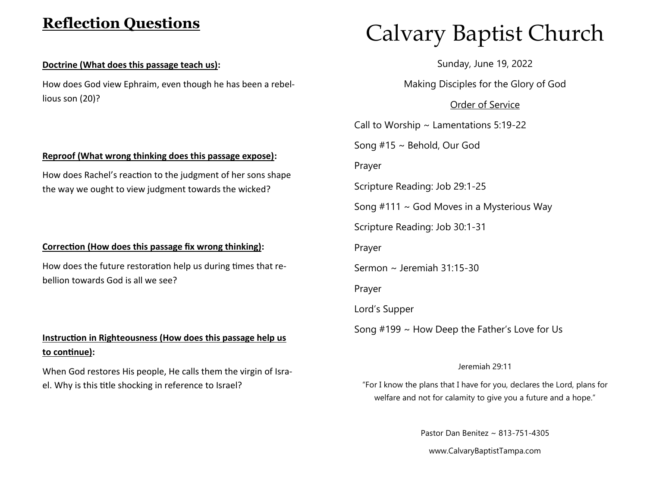## **Reflection Questions**

#### **Doctrine (What does this passage teach us):**

How does God view Ephraim, even though he has been a rebellious son (20)?

### **Reproof (What wrong thinking does this passage expose):**

How does Rachel's reaction to the judgment of her sons shape the way we ought to view judgment towards the wicked?

#### **Correction (How does this passage fix wrong thinking):**

How does the future restoration help us during times that rebellion towards God is all we see?

## **Instruction in Righteousness (How does this passage help us to continue):**

When God restores His people, He calls them the virgin of Israel. Why is this title shocking in reference to Israel?

# Calvary Baptist Church

Sunday, June 19, 2022

Making Disciples for the Glory of God

Order of Service

Call to Worship  $\sim$  Lamentations 5:19-22

Song #15 ~ Behold, Our God

Prayer

Scripture Reading: Job 29:1-25

Song  $#111 \sim$  God Moves in a Mysterious Way

Scripture Reading: Job 30:1-31

Prayer

Sermon ~ Jeremiah 31:15-30

Prayer

Lord's Supper

Song #199 ~ How Deep the Father's Love for Us

#### Jeremiah 29:11

"For I know the plans that I have for you, declares the Lord, plans for welfare and not for calamity to give you a future and a hope."

Pastor Dan Benitez ~ 813-751-4305

www.CalvaryBaptistTampa.com